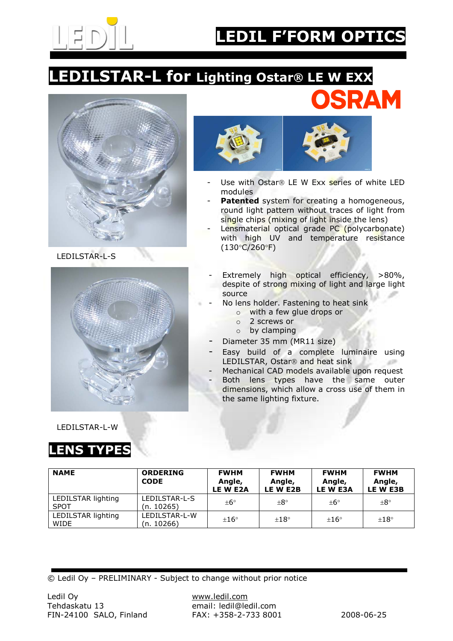

SRAM

## LEDILSTAR-L for Lighting Ostar® LE W EXX



LEDILSTAR-L-S





- Use with Ostar $\overline{R}$  LE W Exx series of white LED modules
	- Patented system for creating a homogeneous, round light pattern without traces of light from single chips (mixing of light inside the lens)
- Lensmaterial optical grade PC (polycarbonate) with high UV and temperature resistance (130°C/260°F)
- Extremely high optical efficiency, >80%, despite of strong mixing of light and large light source
- No lens holder. Fastening to heat sink
	- o with a few glue drops or
	- o 2 screws or
	- o by clamping
- Diameter 35 mm (MR11 size)
- Easy build of a complete luminaire using LEDILSTAR, Ostar<sup>®</sup> and heat sink Legal 1
- Mechanical CAD models available upon request
- Both lens types have the same outer dimensions, which allow a cross use of them in the same lighting fixture.

LEDILSTAR-L-W

## LENS TYPES

| <b>NAME</b>                       | <b>ORDERING</b><br><b>CODE</b> | <b>FWHM</b><br>Angle,<br>LE W E2A | <b>FWHM</b><br>Angle,<br>LE W E2B | <b>FWHM</b><br>Angle,<br>LE W E3A | <b>FWHM</b><br>Angle,<br>LE W E3B |
|-----------------------------------|--------------------------------|-----------------------------------|-----------------------------------|-----------------------------------|-----------------------------------|
| LEDILSTAR lighting<br><b>SPOT</b> | LEDILSTAR-L-S<br>(n. 10265)    | $\pm 6^{\circ}$                   | $+8^{\circ}$                      | $\pm 6^{\circ}$                   | $+8^{\circ}$                      |
| LEDILSTAR lighting<br>WIDE        | LEDILSTAR-L-W<br>(n. 10266)    | $\pm 16^{\circ}$                  | $\pm 18^{\circ}$                  | $\pm 16^{\circ}$                  | $\pm 18^{\circ}$                  |

© Ledil Oy – PRELIMINARY - Subject to change without prior notice